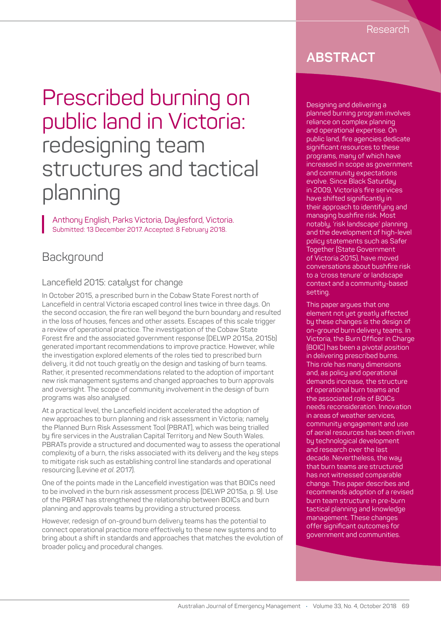# Prescribed burning on public land in Victoria: redesigning team structures and tactical planning

Anthony English, Parks Victoria, Daylesford, Victoria. Submitted: 13 December 2017. Accepted: 8 February 2018.

# **Background**

#### Lancefield 2015: catalyst for change

In October 2015, a prescribed burn in the Cobaw State Forest north of Lancefield in central Victoria escaped control lines twice in three days. On the second occasion, the fire ran well beyond the burn boundary and resulted in the loss of houses, fences and other assets. Escapes of this scale trigger a review of operational practice. The investigation of the Cobaw State Forest fire and the associated government response (DELWP 2015a, 2015b) generated important recommendations to improve practice. However, while the investigation explored elements of the roles tied to prescribed burn delivery, it did not touch greatly on the design and tasking of burn teams. Rather, it presented recommendations related to the adoption of important new risk management systems and changed approaches to burn approvals and oversight. The scope of community involvement in the design of burn programs was also analysed.

At a practical level, the Lancefield incident accelerated the adoption of new approaches to burn planning and risk assessment in Victoria; namely the Planned Burn Risk Assessment Tool (PBRAT), which was being trialled by fire services in the Australian Capital Territory and New South Wales. PBRATs provide a structured and documented way to assess the operational complexity of a burn, the risks associated with its delivery and the key steps to mitigate risk such as establishing control line standards and operational resourcing (Levine *et al*. 2017).

One of the points made in the Lancefield investigation was that BOICs need to be involved in the burn risk assessment process (DELWP 2015a, p. 9). Use of the PBRAT has strengthened the relationship between BOICs and burn planning and approvals teams by providing a structured process.

However, redesign of on-ground burn delivery teams has the potential to connect operational practice more effectively to these new systems and to bring about a shift in standards and approaches that matches the evolution of broader policy and procedural changes.

# **ABSTRACT**

Designing and delivering a planned burning program involves reliance on complex planning and operational expertise. On public land, fire agencies dedicate significant resources to these programs, many of which have increased in scope as government and community expectations evolve. Since Black Saturday in 2009, Victoria's fire services have shifted significantly in their approach to identifying and managing bushfire risk. Most notably, 'risk landscape' planning and the development of high-level policy statements such as Safer Together (State Government of Victoria 2015), have moved conversations about bushfire risk to a 'cross tenure' or landscape context and a community-based setting.

This paper argues that one element not yet greatly affected by these changes is the design of on-ground burn delivery teams. In Victoria, the Burn Officer in Charge (BOIC) has been a pivotal position in delivering prescribed burns. This role has many dimensions and, as policy and operational demands increase, the structure of operational burn teams and the associated role of BOICs needs reconsideration. Innovation in areas of weather services, community engagement and use of aerial resources has been driven by technological development and research over the last decade. Nevertheless, the way that burn teams are structured has not witnessed comparable change. This paper describes and recommends adoption of a revised burn team structure in pre-burn tactical planning and knowledge management. These changes offer significant outcomes for government and communities.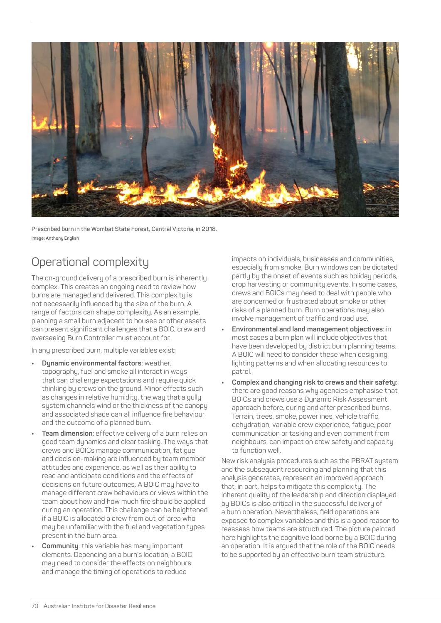

**Prescribed burn in the Wombat State Forest, Central Victoria, in 2018. Image: Anthony English**

# Operational complexity

The on-ground delivery of a prescribed burn is inherently complex. This creates an ongoing need to review how burns are managed and delivered. This complexity is not necessarily influenced by the size of the burn. A range of factors can shape complexity. As an example, planning a small burn adjacent to houses or other assets can present significant challenges that a BOIC, crew and overseeing Burn Controller must account for.

In any prescribed burn, multiple variables exist:

- **• Dynamic environmental factors**: weather, topography, fuel and smoke all interact in ways that can challenge expectations and require quick thinking by crews on the ground. Minor effects such as changes in relative humidity, the way that a gully system channels wind or the thickness of the canopy and associated shade can all influence fire behaviour and the outcome of a planned burn.
- **• Team dimension**: effective delivery of a burn relies on good team dynamics and clear tasking. The ways that crews and BOICs manage communication, fatigue and decision-making are influenced by team member attitudes and experience, as well as their ability to read and anticipate conditions and the effects of decisions on future outcomes. A BOIC may have to manage different crew behaviours or views within the team about how and how much fire should be applied during an operation. This challenge can be heightened if a BOIC is allocated a crew from out-of-area who may be unfamiliar with the fuel and vegetation types present in the burn area.
- **• Community**: this variable has many important elements. Depending on a burn's location, a BOIC may need to consider the effects on neighbours and manage the timing of operations to reduce

impacts on individuals, businesses and communities, especially from smoke. Burn windows can be dictated partly by the onset of events such as holiday periods, crop harvesting or community events. In some cases, crews and BOICs may need to deal with people who are concerned or frustrated about smoke or other risks of a planned burn. Burn operations may also involve management of traffic and road use.

- **• Environmental and land management objectives**: in most cases a burn plan will include objectives that have been developed by district burn planning teams. A BOIC will need to consider these when designing lighting patterns and when allocating resources to patrol.
- **• Complex and changing risk to crews and their safety**: there are good reasons why agencies emphasise that BOICs and crews use a Dynamic Risk Assessment approach before, during and after prescribed burns. Terrain, trees, smoke, powerlines, vehicle traffic, dehydration, variable crew experience, fatigue, poor communication or tasking and even comment from neighbours, can impact on crew safety and capacity to function well.

New risk analysis procedures such as the PBRAT system and the subsequent resourcing and planning that this analysis generates, represent an improved approach that, in part, helps to mitigate this complexity. The inherent quality of the leadership and direction displayed by BOICs is also critical in the successful delivery of a burn operation. Nevertheless, field operations are exposed to complex variables and this is a good reason to reassess how teams are structured. The picture painted here highlights the cognitive load borne by a BOIC during an operation. It is argued that the role of the BOIC needs to be supported by an effective burn team structure.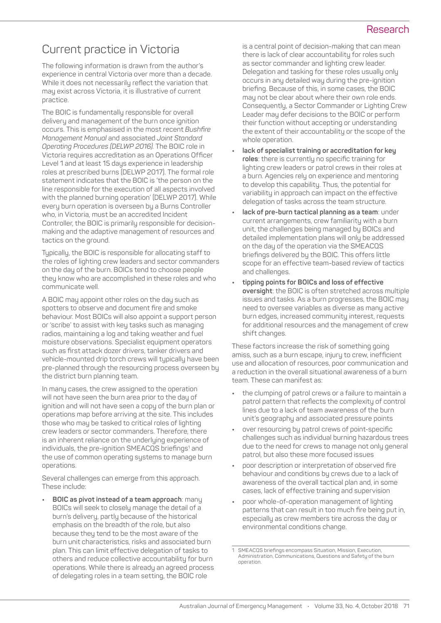#### Research

# Current practice in Victoria

The following information is drawn from the author's experience in central Victoria over more than a decade. While it does not necessarily reflect the variation that may exist across Victoria, it is illustrative of current practice.

The BOIC is fundamentally responsible for overall delivery and management of the burn once ignition occurs. This is emphasised in the most recent *Bushfire Management Manual* and associated *Joint Standard Operating Procedures (DELWP 2016).* The BOIC role in Victoria requires accreditation as an Operations Officer Level 1 and at least 15 days experience in leadership roles at prescribed burns (DELWP 2017). The formal role statement indicates that the BOIC is 'the person on the line responsible for the execution of all aspects involved with the planned burning operation' (DELWP 2017). While every burn operation is overseen by a Burns Controller who, in Victoria, must be an accredited Incident Controller, the BOIC is primarily responsible for decisionmaking and the adaptive management of resources and tactics on the ground.

Typically, the BOIC is responsible for allocating staff to the roles of lighting crew leaders and sector commanders on the day of the burn. BOICs tend to choose people they know who are accomplished in these roles and who communicate well.

A BOIC may appoint other roles on the day such as spotters to observe and document fire and smoke behaviour. Most BOICs will also appoint a support person or 'scribe' to assist with key tasks such as managing radios, maintaining a log and taking weather and fuel moisture observations. Specialist equipment operators such as first attack dozer drivers, tanker drivers and vehicle-mounted drip torch crews will typically have been pre-planned through the resourcing process overseen by the district burn planning team.

In many cases, the crew assigned to the operation will not have seen the burn area prior to the day of ignition and will not have seen a copy of the burn plan or operations map before arriving at the site. This includes those who may be tasked to critical roles of lighting crew leaders or sector commanders. Therefore, there is an inherent reliance on the underlying experience of individuals, the pre-ignition SMEACQS briefings<sup>1</sup> and the use of common operating systems to manage burn operations.

Several challenges can emerge from this approach. These include:

**• BOIC as pivot instead of a team approach**: many BOICs will seek to closely manage the detail of a burn's delivery, partly because of the historical emphasis on the breadth of the role, but also because they tend to be the most aware of the burn unit characteristics, risks and associated burn plan. This can limit effective delegation of tasks to others and reduce collective accountability for burn operations. While there is already an agreed process of delegating roles in a team setting, the BOIC role

is a central point of decision-making that can mean there is lack of clear accountability for roles such as sector commander and lighting crew leader. Delegation and tasking for these roles usually only occurs in any detailed way during the pre-ignition briefing. Because of this, in some cases, the BOIC may not be clear about where their own role ends. Consequently, a Sector Commander or Lighting Crew Leader may defer decisions to the BOIC or perform their function without accepting or understanding the extent of their accountability or the scope of the whole operation.

- **• lack of specialist training or accreditation for key roles**: there is currently no specific training for lighting crew leaders or patrol crews in their roles at a burn. Agencies rely on experience and mentoring to develop this capability. Thus, the potential for variability in approach can impact on the effective delegation of tasks across the team structure.
- **• lack of pre-burn tactical planning as a team**: under current arrangements, crew familiarity with a burn unit, the challenges being managed by BOICs and detailed implementation plans will only be addressed on the day of the operation via the SMEACQS briefings delivered by the BOIC. This offers little scope for an effective team-based review of tactics and challenges.
- **• tipping points for BOICs and loss of effective oversight**: the BOIC is often stretched across multiple issues and tasks. As a burn progresses, the BOIC may need to oversee variables as diverse as many active burn edges, increased community interest, requests for additional resources and the management of crew shift changes.

These factors increase the risk of something going amiss, such as a burn escape, injury to crew, inefficient use and allocation of resources, poor communication and a reduction in the overall situational awareness of a burn team. These can manifest as:

- **•** the clumping of patrol crews or a failure to maintain a patrol pattern that reflects the complexity of control lines due to a lack of team awareness of the burn unit's geography and associated pressure points
- **•** over resourcing by patrol crews of point-specific challenges such as individual burning hazardous trees due to the need for crews to manage not only general patrol, but also these more focused issues
- **•** poor description or interpretation of observed fire behaviour and conditions by crews due to a lack of awareness of the overall tactical plan and, in some cases, lack of effective training and supervision
- **•** poor whole-of-operation management of lighting patterns that can result in too much fire being put in, especially as crew members tire across the day or environmental conditions change.

<sup>1</sup> SMEACQS briefings encompass Situation, Mission, Execution, Administration, Communications, Questions and Safety of the burn operation.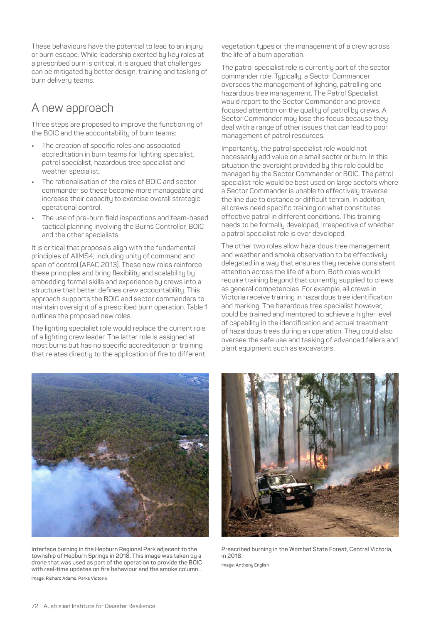These behaviours have the potential to lead to an injury or burn escape. While leadership exerted by key roles at a prescribed burn is critical, it is argued that challenges can be mitigated by better design, training and tasking of burn delivery teams.

## A new approach

Three steps are proposed to improve the functioning of the BOIC and the accountability of burn teams:

- **•** The creation of specific roles and associated accreditation in burn teams for lighting specialist, patrol specialist, hazardous tree specialist and weather specialist.
- **•** The rationalisation of the roles of BOIC and sector commander so these become more manageable and increase their capacity to exercise overall strategic operational control.
- **•** The use of pre-burn field inspections and team-based tactical planning involving the Burns Controller, BOIC and the other specialists.

It is critical that proposals align with the fundamental principles of AIIMS4; including unity of command and span of control (AFAC 2013). These new roles reinforce these principles and bring flexibility and scalability by embedding formal skills and experience by crews into a structure that better defines crew accountability. This approach supports the BOIC and sector commanders to maintain oversight of a prescribed burn operation. Table 1 outlines the proposed new roles.

The lighting specialist role would replace the current role of a lighting crew leader. The latter role is assigned at most burns but has no specific accreditation or training that relates directly to the application of fire to different vegetation types or the management of a crew across the life of a burn operation.

The patrol specialist role is currently part of the sector commander role. Typically, a Sector Commander oversees the management of lighting, patrolling and hazardous tree management. The Patrol Specialist would report to the Sector Commander and provide focused attention on the quality of patrol by crews. A Sector Commander may lose this focus because they deal with a range of other issues that can lead to poor management of patrol resources.

Importantly, the patrol specialist role would not necessarily add value on a small sector or burn. In this situation the oversight provided by this role could be managed by the Sector Commander or BOIC. The patrol specialist role would be best used on large sectors where a Sector Commander is unable to effectively traverse the line due to distance or difficult terrain. In addition, all crews need specific training on what constitutes effective patrol in different conditions. This training needs to be formally developed, irrespective of whether a patrol specialist role is ever developed.

The other two roles allow hazardous tree management and weather and smoke observation to be effectively delegated in a way that ensures they receive consistent attention across the life of a burn. Both roles would require training beyond that currently supplied to crews as general competencies. For example, all crews in Victoria receive training in hazardous tree identification and marking. The hazardous tree specialist however, could be trained and mentored to achieve a higher level of capability in the identification and actual treatment of hazardous trees during an operation. They could also oversee the safe use and tasking of advanced fallers and plant equipment such as excavators.



**Interface burning in the Hepburn Regional Park adjacent to the township of Hepburn Springs in 2018. This image was taken by a drone that was used as part of the operation to provide the BOIC with real-time updates on fire behaviour and the smoke column.. Image: Richard Adams, Parks Victoria**



**Prescribed burning in the Wombat State Forest, Central Victoria, in 2018. Image: Anthony English**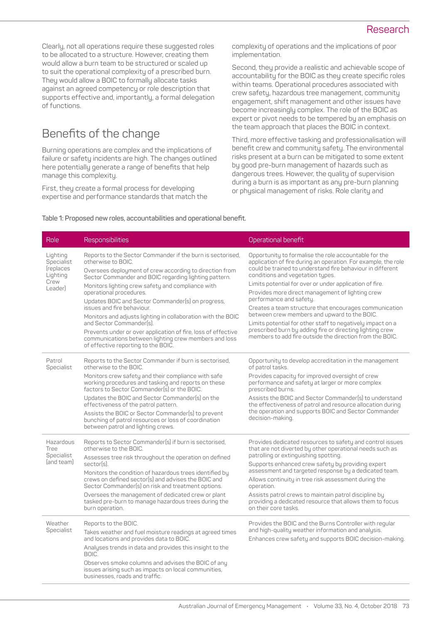Clearly, not all operations require these suggested roles to be allocated to a structure. However, creating them would allow a burn team to be structured or scaled up to suit the operational complexity of a prescribed burn. They would allow a BOIC to formally allocate tasks against an agreed competency or role description that supports effective and, importantly, a formal delegation of functions.

# Benefits of the change

Burning operations are complex and the implications of failure or safety incidents are high. The changes outlined here potentially generate a range of benefits that help manage this complexity.

First, they create a formal process for developing expertise and performance standards that match the complexity of operations and the implications of poor implementation.

Second, they provide a realistic and achievable scope of accountability for the BOIC as they create specific roles within teams. Operational procedures associated with crew safety, hazardous tree management, community engagement, shift management and other issues have become increasingly complex. The role of the BOIC as expert or pivot needs to be tempered by an emphasis on the team approach that places the BOIC in context.

Third, more effective tasking and professionalisation will benefit crew and community safety. The environmental risks present at a burn can be mitigated to some extent by good pre-burn management of hazards such as dangerous trees. However, the quality of supervision during a burn is as important as any pre-burn planning or physical management of risks. Role clarity and

#### **Table 1: Proposed new roles, accountabilities and operational benefit.**

| Role                                                               | Responsibilities                                                                                                                                                                                                                                                                                                                                                                                                                                                                                                                                                                                                                     | Operational benefit                                                                                                                                                                                                                                                                                                                                                                                                                                                                                                                                                                                                                                                  |
|--------------------------------------------------------------------|--------------------------------------------------------------------------------------------------------------------------------------------------------------------------------------------------------------------------------------------------------------------------------------------------------------------------------------------------------------------------------------------------------------------------------------------------------------------------------------------------------------------------------------------------------------------------------------------------------------------------------------|----------------------------------------------------------------------------------------------------------------------------------------------------------------------------------------------------------------------------------------------------------------------------------------------------------------------------------------------------------------------------------------------------------------------------------------------------------------------------------------------------------------------------------------------------------------------------------------------------------------------------------------------------------------------|
| Lighting<br>Specialist<br>(replaces<br>Lighting<br>Crew<br>Leader) | Reports to the Sector Commander if the burn is sectorised,<br>otherwise to BOIC.<br>Oversees deployment of crew according to direction from<br>Sector Commander and BOIC regarding lighting pattern.<br>Monitors lighting crew safety and compliance with<br>operational procedures.<br>Updates BOIC and Sector Commander(s) on progress,<br>issues and fire behaviour.<br>Monitors and adjusts lighting in collaboration with the BOIC<br>and Sector Commander(s).<br>Prevents under or over application of fire, loss of effective<br>communications between lighting crew members and loss<br>of effective reporting to the BOIC. | Opportunity to formalise the role accountable for the<br>application of fire during an operation. For example, the role<br>could be trained to understand fire behaviour in different<br>conditions and vegetation types.<br>Limits potential for over or under application of fire.<br>Provides more direct management of lighting crew<br>performance and safety.<br>Creates a team structure that encourages communication<br>between crew members and upward to the BOIC.<br>Limits potential for other staff to negatively impact on a<br>prescribed burn by adding fire or directing lighting crew<br>members to add fire outside the direction from the BOIC. |
| Patrol<br>Specialist                                               | Reports to the Sector Commander if burn is sectorised.<br>otherwise to the BOIC.<br>Monitors crew safety and their compliance with safe<br>working procedures and tasking and reports on these<br>factors to Sector Commander(s) or the BOIC.<br>Updates the BOIC and Sector Commander(s) on the<br>effectiveness of the patrol pattern.<br>Assists the BOIC or Sector Commander(s) to prevent<br>bunching of patrol resources or loss of coordination<br>between patrol and lighting crews.                                                                                                                                         | Opportunity to develop accreditation in the management<br>of patrol tasks.<br>Provides capacity for improved oversight of crew<br>performance and safety at larger or more complex<br>prescribed burns.<br>Assists the BOIC and Sector Commander(s) to understand<br>the effectiveness of patrol and resource allocation during<br>the operation and supports BOIC and Sector Commander<br>decision-making.                                                                                                                                                                                                                                                          |
| Hazardous<br><b>Tree</b><br>Specialist<br>land teaml               | Reports to Sector Commander(s) if burn is sectorised,<br>otherwise to the BOIC.<br>Assesses tree risk throughout the operation on defined<br>sector(s).<br>Monitors the condition of hazardous trees identified by<br>crews on defined sector(s) and advises the BOIC and<br>Sector Commander(s) on risk and treatment options.<br>Oversees the management of dedicated crew or plant<br>tasked pre-burn to manage hazardous trees during the<br>burn operation.                                                                                                                                                                     | Provides dedicated resources to safety and control issues<br>that are not diverted by other operational needs such as<br>patrolling or extinguishing spotting.<br>Supports enhanced crew safety by providing expert<br>assessment and targeted response by a dedicated team.<br>Allows continuity in tree risk assessment during the<br>operation.<br>Assists patrol crews to maintain patrol discipline by<br>providing a dedicated resource that allows them to focus<br>on their core tasks.                                                                                                                                                                      |
| Weather<br>Specialist                                              | Reports to the BOIC.<br>Takes weather and fuel moisture readings at agreed times<br>and locations and provides data to BOIC.<br>Analyses trends in data and provides this insight to the<br>BOIC.<br>Observes smoke columns and advises the BOIC of any<br>issues arising such as impacts on local communities,<br>businesses, roads and traffic.                                                                                                                                                                                                                                                                                    | Provides the BOIC and the Burns Controller with regular<br>and high-quality weather information and analysis.<br>Enhances crew safety and supports BOIC decision-making.                                                                                                                                                                                                                                                                                                                                                                                                                                                                                             |